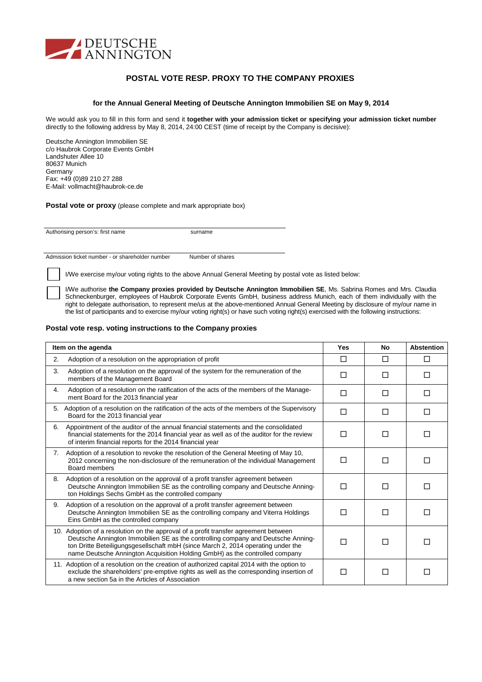

## **POSTAL VOTE RESP. PROXY TO THE COMPANY PROXIES**

### **for the Annual General Meeting of Deutsche Annington Immobilien SE on May 9, 2014**

We would ask you to fill in this form and send it **together with your admission ticket or specifying your admission ticket number** directly to the following address by May 8, 2014, 24:00 CEST (time of receipt by the Company is decisive):

Deutsche Annington Immobilien SE c/o Haubrok Corporate Events GmbH Landshuter Allee 10 80637 Munich Germany Fax: +49 (0)89 210 27 288 E-Mail: vollmacht@haubrok-ce.de

**Postal vote or proxy** (please complete and mark appropriate box)

Authorising person's: first name surname

Admission ticket number - or shareholder number Number of shares

I/We exercise my/our voting rights to the above Annual General Meeting by postal vote as listed below:

I/We authorise **the Company proxies provided by Deutsche Annington Immobilien SE**, Ms. Sabrina Romes and Mrs. Claudia Schneckenburger, employees of Haubrok Corporate Events GmbH, business address Munich, each of them individually with the right to delegate authorisation, to represent me/us at the above-mentioned Annual General Meeting by disclosure of my/our name in the list of participants and to exercise my/our voting right(s) or have such voting right(s) exercised with the following instructions:

### **Postal vote resp. voting instructions to the Company proxies**

| Item on the agenda                                                                                                                                                                                                                                                                                                                         |    | No | <b>Abstention</b> |
|--------------------------------------------------------------------------------------------------------------------------------------------------------------------------------------------------------------------------------------------------------------------------------------------------------------------------------------------|----|----|-------------------|
| Adoption of a resolution on the appropriation of profit<br>2.                                                                                                                                                                                                                                                                              | П  | П  | П                 |
| Adoption of a resolution on the approval of the system for the remuneration of the<br>3.<br>members of the Management Board                                                                                                                                                                                                                | LI | П  | П                 |
| Adoption of a resolution on the ratification of the acts of the members of the Manage-<br>4.<br>ment Board for the 2013 financial year                                                                                                                                                                                                     | П  | П  | П                 |
| 5. Adoption of a resolution on the ratification of the acts of the members of the Supervisory<br>Board for the 2013 financial year                                                                                                                                                                                                         | П  | П  | П                 |
| Appointment of the auditor of the annual financial statements and the consolidated<br>6.<br>financial statements for the 2014 financial year as well as of the auditor for the review<br>of interim financial reports for the 2014 financial year                                                                                          | П  | П  | П                 |
| Adoption of a resolution to revoke the resolution of the General Meeting of May 10,<br>7.<br>2012 concerning the non-disclosure of the remuneration of the individual Management<br>Board members                                                                                                                                          | П  | П  | П                 |
| Adoption of a resolution on the approval of a profit transfer agreement between<br>8.<br>Deutsche Annington Immobilien SE as the controlling company and Deutsche Anning-<br>ton Holdings Sechs GmbH as the controlled company                                                                                                             | H  | П  | $\mathsf{L}$      |
| Adoption of a resolution on the approval of a profit transfer agreement between<br>9.<br>Deutsche Annington Immobilien SE as the controlling company and Viterra Holdings<br>П<br>П<br>П<br>Eins GmbH as the controlled company                                                                                                            |    |    |                   |
| 10. Adoption of a resolution on the approval of a profit transfer agreement between<br>Deutsche Annington Immobilien SE as the controlling company and Deutsche Anning-<br>ton Dritte Beteiligungsgesellschaft mbH (since March 2, 2014 operating under the<br>name Deutsche Annington Acquisition Holding GmbH) as the controlled company |    | П  | П                 |
| 11. Adoption of a resolution on the creation of authorized capital 2014 with the option to<br>exclude the shareholders' pre-emptive rights as well as the corresponding insertion of<br>a new section 5a in the Articles of Association                                                                                                    | П  | П  | П                 |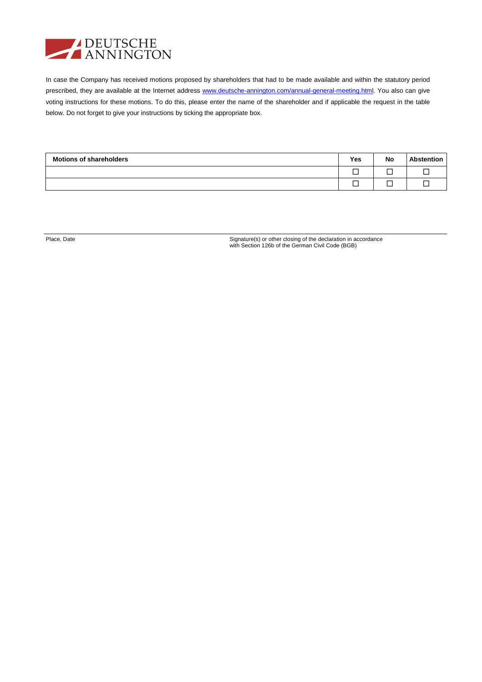

In case the Company has received motions proposed by shareholders that had to be made available and within the statutory period prescribed, they are available at the Internet address www.deutsche-annington.com/annual-general-meeting.html. You also can give voting instructions for these motions. To do this, please enter the name of the shareholder and if applicable the request in the table below. Do not forget to give your instructions by ticking the appropriate box.

| <b>Motions of shareholders</b> | Yes | <b>No</b> | <b>Abstention</b> |
|--------------------------------|-----|-----------|-------------------|
|                                |     |           |                   |
|                                |     |           |                   |

Place, Date Signature(s) or other closing of the declaration in accordance with Section 126b of the German Civil Code (BGB)